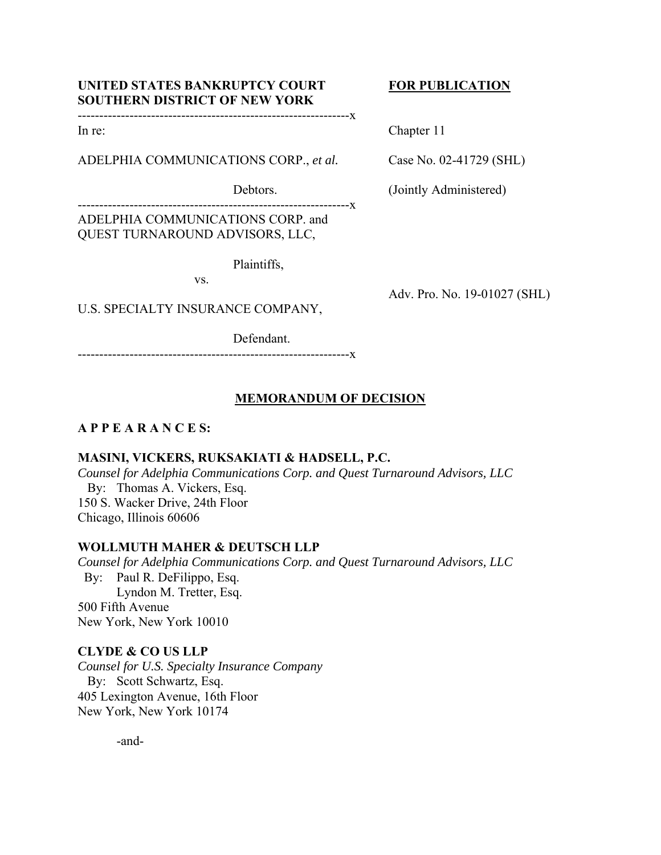# **UNITED STATES BANKRUPTCY COURT FOR PUBLICATION SOUTHERN DISTRICT OF NEW YORK**

# ---------------------------------------------------------------x

ADELPHIA COMMUNICATIONS CORP., *et al.* Case No. 02-41729 (SHL)

In re: Chapter 11

Adv. Pro. No. 19-01027 (SHL)

Debtors. (Jointly Administered)

---------------------------------------------------------------x

ADELPHIA COMMUNICATIONS CORP. and QUEST TURNAROUND ADVISORS, LLC,

Plaintiffs,

vs.

U.S. SPECIALTY INSURANCE COMPANY,

Defendant.

---------------------------------------------------------------x

# **MEMORANDUM OF DECISION**

# **A P P E A R A N C E S:**

## **MASINI, VICKERS, RUKSAKIATI & HADSELL, P.C.**

*Counsel for Adelphia Communications Corp. and Quest Turnaround Advisors, LLC*  By: Thomas A. Vickers, Esq. 150 S. Wacker Drive, 24th Floor Chicago, Illinois 60606

## **WOLLMUTH MAHER & DEUTSCH LLP**

*Counsel for Adelphia Communications Corp. and Quest Turnaround Advisors, LLC*  By: Paul R. DeFilippo, Esq. Lyndon M. Tretter, Esq. 500 Fifth Avenue New York, New York 10010

## **CLYDE & CO US LLP**

*Counsel for U.S. Specialty Insurance Company*  By: Scott Schwartz, Esq. 405 Lexington Avenue, 16th Floor New York, New York 10174

-and-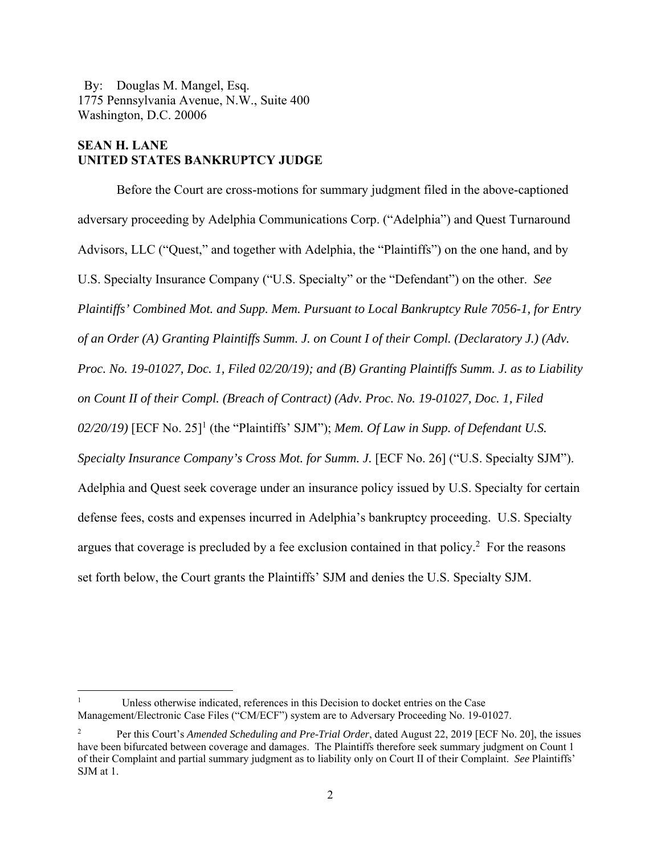By: Douglas M. Mangel, Esq. 1775 Pennsylvania Avenue, N.W., Suite 400 Washington, D.C. 20006

## **SEAN H. LANE UNITED STATES BANKRUPTCY JUDGE**

Before the Court are cross-motions for summary judgment filed in the above-captioned adversary proceeding by Adelphia Communications Corp. ("Adelphia") and Quest Turnaround Advisors, LLC ("Quest," and together with Adelphia, the "Plaintiffs") on the one hand, and by U.S. Specialty Insurance Company ("U.S. Specialty" or the "Defendant") on the other. *See Plaintiffs' Combined Mot. and Supp. Mem. Pursuant to Local Bankruptcy Rule 7056-1, for Entry of an Order (A) Granting Plaintiffs Summ. J. on Count I of their Compl. (Declaratory J.) (Adv. Proc. No. 19-01027, Doc. 1, Filed 02/20/19); and (B) Granting Plaintiffs Summ. J. as to Liability on Count II of their Compl. (Breach of Contract) (Adv. Proc. No. 19-01027, Doc. 1, Filed*   $02/20/19$ ) [ECF No. 25]<sup>1</sup> (the "Plaintiffs' SJM"); *Mem. Of Law in Supp. of Defendant U.S. Specialty Insurance Company's Cross Mot. for Summ. J.* [ECF No. 26] ("U.S. Specialty SJM"). Adelphia and Quest seek coverage under an insurance policy issued by U.S. Specialty for certain defense fees, costs and expenses incurred in Adelphia's bankruptcy proceeding. U.S. Specialty argues that coverage is precluded by a fee exclusion contained in that policy.<sup>2</sup> For the reasons set forth below, the Court grants the Plaintiffs' SJM and denies the U.S. Specialty SJM.

<sup>1</sup> Unless otherwise indicated, references in this Decision to docket entries on the Case Management/Electronic Case Files ("CM/ECF") system are to Adversary Proceeding No. 19-01027.

<sup>2</sup> Per this Court's *Amended Scheduling and Pre-Trial Order*, dated August 22, 2019 [ECF No. 20], the issues have been bifurcated between coverage and damages. The Plaintiffs therefore seek summary judgment on Count 1 of their Complaint and partial summary judgment as to liability only on Court II of their Complaint. *See* Plaintiffs' SJM at 1.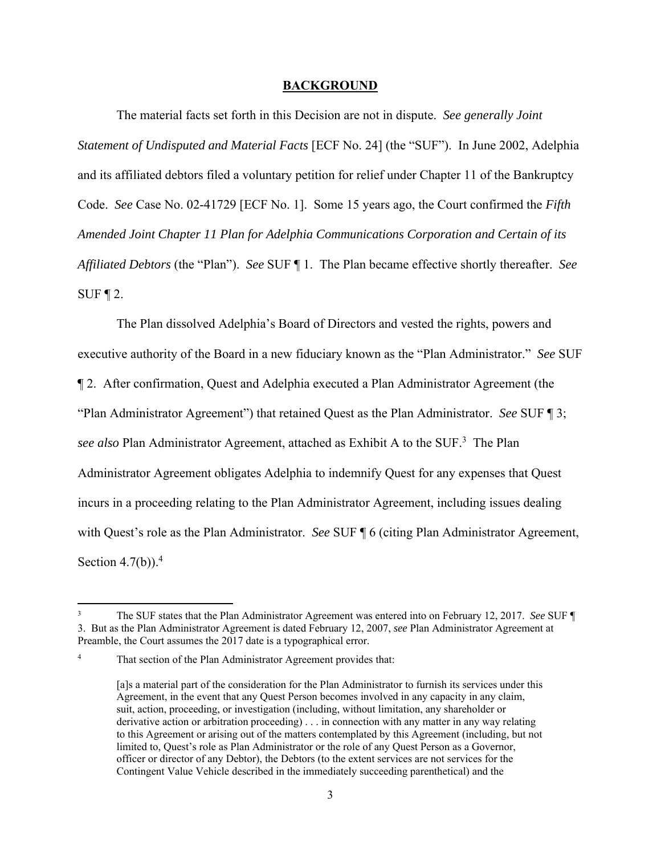#### **BACKGROUND**

The material facts set forth in this Decision are not in dispute. *See generally Joint Statement of Undisputed and Material Facts* [ECF No. 24] (the "SUF"). In June 2002, Adelphia and its affiliated debtors filed a voluntary petition for relief under Chapter 11 of the Bankruptcy Code. *See* Case No. 02-41729 [ECF No. 1]. Some 15 years ago, the Court confirmed the *Fifth Amended Joint Chapter 11 Plan for Adelphia Communications Corporation and Certain of its Affiliated Debtors* (the "Plan"). *See* SUF ¶ 1. The Plan became effective shortly thereafter. *See* SUF  $\P$  2.

The Plan dissolved Adelphia's Board of Directors and vested the rights, powers and executive authority of the Board in a new fiduciary known as the "Plan Administrator." *See* SUF ¶ 2. After confirmation, Quest and Adelphia executed a Plan Administrator Agreement (the "Plan Administrator Agreement") that retained Quest as the Plan Administrator. *See* SUF ¶ 3; see also Plan Administrator Agreement, attached as Exhibit A to the SUF.<sup>3</sup> The Plan Administrator Agreement obligates Adelphia to indemnify Quest for any expenses that Quest incurs in a proceeding relating to the Plan Administrator Agreement, including issues dealing with Quest's role as the Plan Administrator. *See* SUF ¶ 6 (citing Plan Administrator Agreement, Section  $4.7(b)$ ).<sup>4</sup>

<sup>3</sup> The SUF states that the Plan Administrator Agreement was entered into on February 12, 2017. *See* SUF ¶ 3. But as the Plan Administrator Agreement is dated February 12, 2007, *see* Plan Administrator Agreement at Preamble, the Court assumes the 2017 date is a typographical error.

<sup>4</sup> That section of the Plan Administrator Agreement provides that:

<sup>[</sup>a]s a material part of the consideration for the Plan Administrator to furnish its services under this Agreement, in the event that any Quest Person becomes involved in any capacity in any claim, suit, action, proceeding, or investigation (including, without limitation, any shareholder or derivative action or arbitration proceeding) . . . in connection with any matter in any way relating to this Agreement or arising out of the matters contemplated by this Agreement (including, but not limited to, Quest's role as Plan Administrator or the role of any Quest Person as a Governor, officer or director of any Debtor), the Debtors (to the extent services are not services for the Contingent Value Vehicle described in the immediately succeeding parenthetical) and the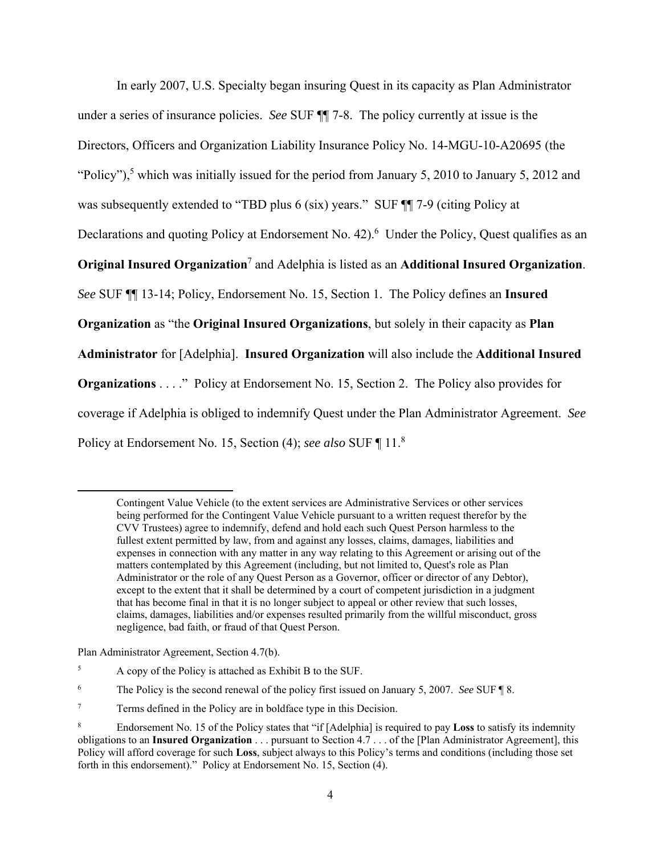In early 2007, U.S. Specialty began insuring Quest in its capacity as Plan Administrator under a series of insurance policies. *See* SUF ¶¶ 7-8. The policy currently at issue is the Directors, Officers and Organization Liability Insurance Policy No. 14-MGU-10-A20695 (the "Policy"),<sup>5</sup> which was initially issued for the period from January 5, 2010 to January 5, 2012 and was subsequently extended to "TBD plus 6 (six) years." SUF  $\P$  7-9 (citing Policy at Declarations and quoting Policy at Endorsement No. 42).<sup>6</sup> Under the Policy, Quest qualifies as an **Original Insured Organization**<sup>7</sup> and Adelphia is listed as an **Additional Insured Organization**. *See* SUF ¶¶ 13-14; Policy, Endorsement No. 15, Section 1. The Policy defines an **Insured Organization** as "the **Original Insured Organizations**, but solely in their capacity as **Plan Administrator** for [Adelphia]. **Insured Organization** will also include the **Additional Insured Organizations** . . . ." Policy at Endorsement No. 15, Section 2. The Policy also provides for coverage if Adelphia is obliged to indemnify Quest under the Plan Administrator Agreement. *See*  Policy at Endorsement No. 15, Section (4); *see also* SUF ¶ 11.<sup>8</sup>

Plan Administrator Agreement, Section 4.7(b).

Contingent Value Vehicle (to the extent services are Administrative Services or other services being performed for the Contingent Value Vehicle pursuant to a written request therefor by the CVV Trustees) agree to indemnify, defend and hold each such Quest Person harmless to the fullest extent permitted by law, from and against any losses, claims, damages, liabilities and expenses in connection with any matter in any way relating to this Agreement or arising out of the matters contemplated by this Agreement (including, but not limited to, Quest's role as Plan Administrator or the role of any Quest Person as a Governor, officer or director of any Debtor), except to the extent that it shall be determined by a court of competent jurisdiction in a judgment that has become final in that it is no longer subject to appeal or other review that such losses, claims, damages, liabilities and/or expenses resulted primarily from the willful misconduct, gross negligence, bad faith, or fraud of that Quest Person.

<sup>5</sup> A copy of the Policy is attached as Exhibit B to the SUF.

<sup>6</sup> The Policy is the second renewal of the policy first issued on January 5, 2007. *See* SUF ¶ 8.

<sup>7</sup> Terms defined in the Policy are in boldface type in this Decision.

<sup>8</sup> Endorsement No. 15 of the Policy states that "if [Adelphia] is required to pay **Loss** to satisfy its indemnity obligations to an **Insured Organization** . . . pursuant to Section 4.7 . . . of the [Plan Administrator Agreement], this Policy will afford coverage for such **Loss**, subject always to this Policy's terms and conditions (including those set forth in this endorsement)." Policy at Endorsement No. 15, Section (4).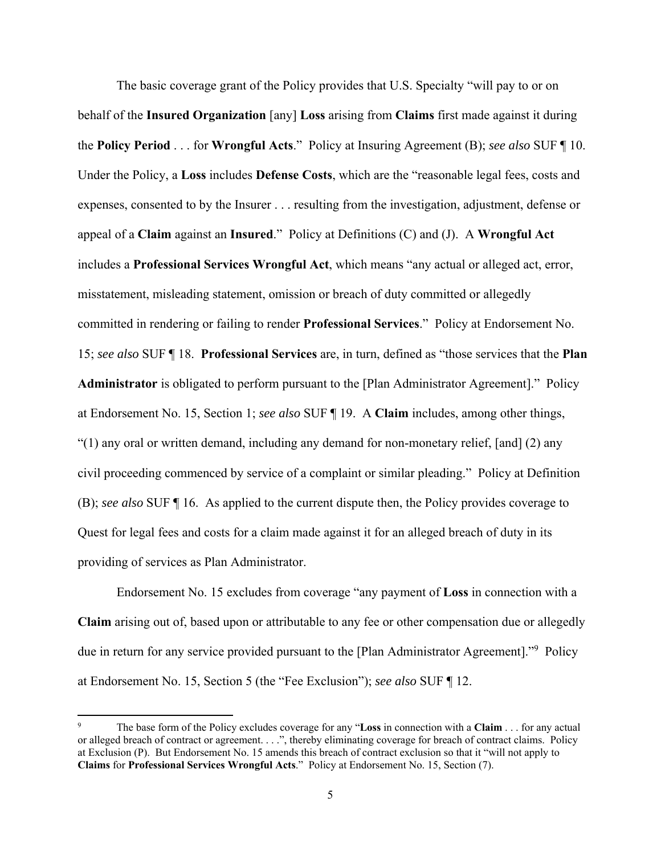The basic coverage grant of the Policy provides that U.S. Specialty "will pay to or on behalf of the **Insured Organization** [any] **Loss** arising from **Claims** first made against it during the **Policy Period** . . . for **Wrongful Acts**." Policy at Insuring Agreement (B); *see also* SUF ¶ 10. Under the Policy, a **Loss** includes **Defense Costs**, which are the "reasonable legal fees, costs and expenses, consented to by the Insurer . . . resulting from the investigation, adjustment, defense or appeal of a **Claim** against an **Insured**." Policy at Definitions (C) and (J). A **Wrongful Act** includes a **Professional Services Wrongful Act**, which means "any actual or alleged act, error, misstatement, misleading statement, omission or breach of duty committed or allegedly committed in rendering or failing to render **Professional Services**." Policy at Endorsement No. 15; *see also* SUF ¶ 18. **Professional Services** are, in turn, defined as "those services that the **Plan Administrator** is obligated to perform pursuant to the [Plan Administrator Agreement]." Policy at Endorsement No. 15, Section 1; *see also* SUF ¶ 19. A **Claim** includes, among other things,  $\degree$ (1) any oral or written demand, including any demand for non-monetary relief, [and] (2) any civil proceeding commenced by service of a complaint or similar pleading." Policy at Definition (B); *see also* SUF ¶ 16. As applied to the current dispute then, the Policy provides coverage to Quest for legal fees and costs for a claim made against it for an alleged breach of duty in its providing of services as Plan Administrator.

Endorsement No. 15 excludes from coverage "any payment of **Loss** in connection with a **Claim** arising out of, based upon or attributable to any fee or other compensation due or allegedly due in return for any service provided pursuant to the [Plan Administrator Agreement]."<sup>9</sup> Policy at Endorsement No. 15, Section 5 (the "Fee Exclusion"); *see also* SUF ¶ 12.

<sup>9</sup> The base form of the Policy excludes coverage for any "**Loss** in connection with a **Claim** . . . for any actual or alleged breach of contract or agreement. . . .", thereby eliminating coverage for breach of contract claims. Policy at Exclusion (P). But Endorsement No. 15 amends this breach of contract exclusion so that it "will not apply to **Claims** for **Professional Services Wrongful Acts**." Policy at Endorsement No. 15, Section (7).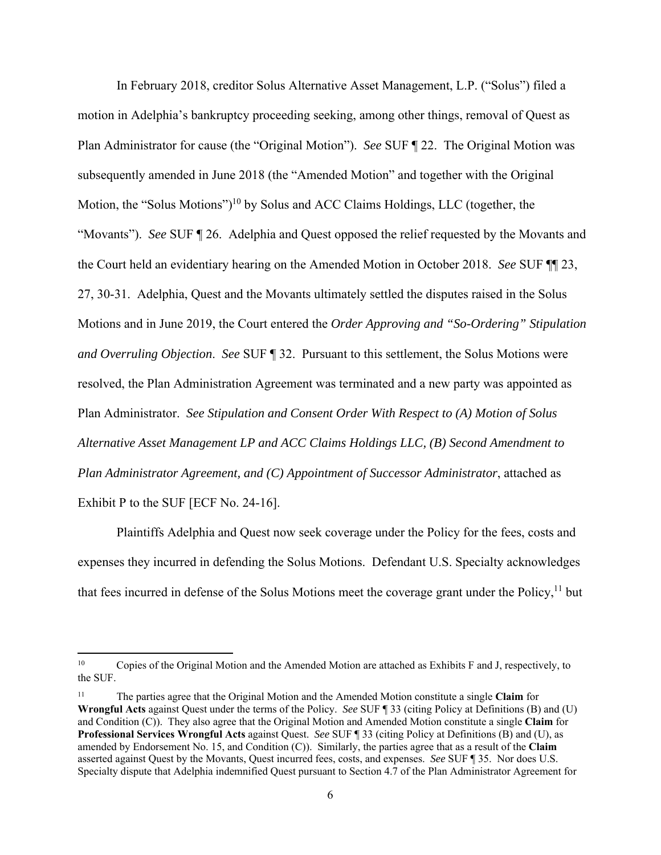In February 2018, creditor Solus Alternative Asset Management, L.P. ("Solus") filed a motion in Adelphia's bankruptcy proceeding seeking, among other things, removal of Quest as Plan Administrator for cause (the "Original Motion"). *See* SUF ¶ 22. The Original Motion was subsequently amended in June 2018 (the "Amended Motion" and together with the Original Motion, the "Solus Motions")<sup>10</sup> by Solus and ACC Claims Holdings, LLC (together, the "Movants"). *See* SUF ¶ 26. Adelphia and Quest opposed the relief requested by the Movants and the Court held an evidentiary hearing on the Amended Motion in October 2018. *See* SUF ¶¶ 23, 27, 30-31. Adelphia, Quest and the Movants ultimately settled the disputes raised in the Solus Motions and in June 2019, the Court entered the *Order Approving and "So-Ordering" Stipulation and Overruling Objection*. *See* SUF ¶ 32. Pursuant to this settlement, the Solus Motions were resolved, the Plan Administration Agreement was terminated and a new party was appointed as Plan Administrator. *See Stipulation and Consent Order With Respect to (A) Motion of Solus Alternative Asset Management LP and ACC Claims Holdings LLC, (B) Second Amendment to Plan Administrator Agreement, and (C) Appointment of Successor Administrator*, attached as Exhibit P to the SUF [ECF No. 24-16].

Plaintiffs Adelphia and Quest now seek coverage under the Policy for the fees, costs and expenses they incurred in defending the Solus Motions. Defendant U.S. Specialty acknowledges that fees incurred in defense of the Solus Motions meet the coverage grant under the Policy,  $^{11}$  but

<sup>&</sup>lt;sup>10</sup> Copies of the Original Motion and the Amended Motion are attached as Exhibits F and J, respectively, to the SUF.

<sup>11</sup> The parties agree that the Original Motion and the Amended Motion constitute a single **Claim** for **Wrongful Acts** against Quest under the terms of the Policy. *See* SUF ¶ 33 (citing Policy at Definitions (B) and (U) and Condition (C)). They also agree that the Original Motion and Amended Motion constitute a single **Claim** for **Professional Services Wrongful Acts** against Quest. *See* SUF ¶ 33 (citing Policy at Definitions (B) and (U), as amended by Endorsement No. 15, and Condition (C)). Similarly, the parties agree that as a result of the **Claim** asserted against Quest by the Movants, Quest incurred fees, costs, and expenses. *See* SUF ¶ 35. Nor does U.S. Specialty dispute that Adelphia indemnified Quest pursuant to Section 4.7 of the Plan Administrator Agreement for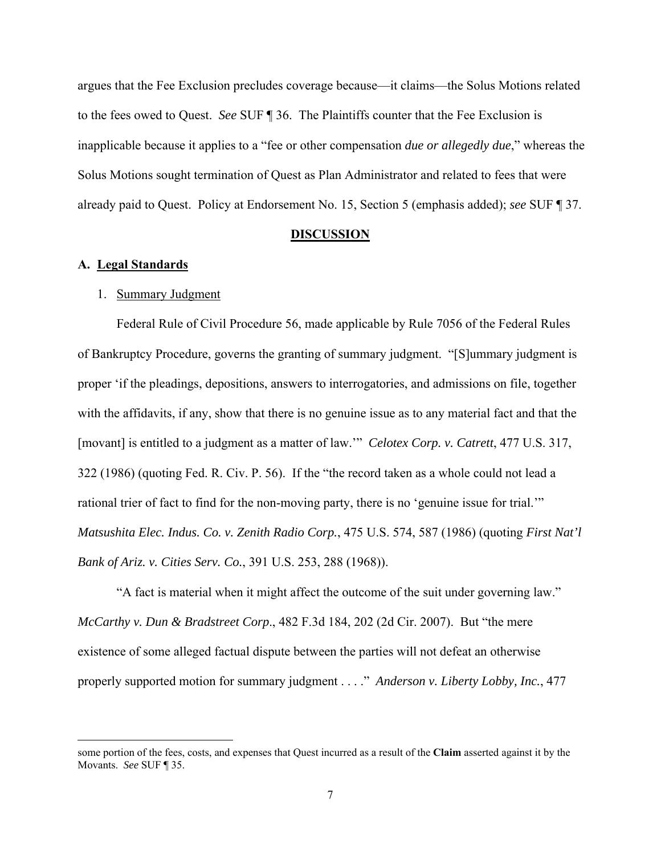argues that the Fee Exclusion precludes coverage because—it claims—the Solus Motions related to the fees owed to Quest. *See* SUF ¶ 36. The Plaintiffs counter that the Fee Exclusion is inapplicable because it applies to a "fee or other compensation *due or allegedly due*," whereas the Solus Motions sought termination of Quest as Plan Administrator and related to fees that were already paid to Quest. Policy at Endorsement No. 15, Section 5 (emphasis added); *see* SUF ¶ 37.

## **DISCUSSION**

## **A. Legal Standards**

## 1. Summary Judgment

Federal Rule of Civil Procedure 56, made applicable by Rule 7056 of the Federal Rules of Bankruptcy Procedure, governs the granting of summary judgment. "[S]ummary judgment is proper 'if the pleadings, depositions, answers to interrogatories, and admissions on file, together with the affidavits, if any, show that there is no genuine issue as to any material fact and that the [movant] is entitled to a judgment as a matter of law.'" *Celotex Corp. v. Catrett*, 477 U.S. 317, 322 (1986) (quoting Fed. R. Civ. P. 56). If the "the record taken as a whole could not lead a rational trier of fact to find for the non-moving party, there is no 'genuine issue for trial.'" *Matsushita Elec. Indus. Co. v. Zenith Radio Corp.*, 475 U.S. 574, 587 (1986) (quoting *First Nat'l Bank of Ariz. v. Cities Serv. Co.*, 391 U.S. 253, 288 (1968)).

"A fact is material when it might affect the outcome of the suit under governing law." *McCarthy v. Dun & Bradstreet Corp*., 482 F.3d 184, 202 (2d Cir. 2007). But "the mere existence of some alleged factual dispute between the parties will not defeat an otherwise properly supported motion for summary judgment . . . ." *Anderson v. Liberty Lobby, Inc.*, 477

some portion of the fees, costs, and expenses that Quest incurred as a result of the **Claim** asserted against it by the Movants. *See* SUF ¶ 35.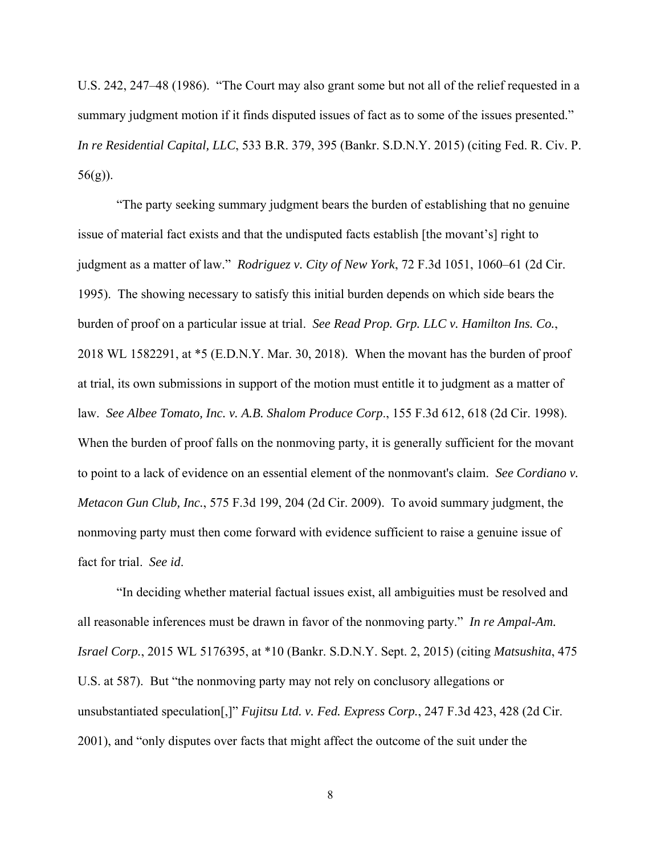U.S. 242, 247–48 (1986). "The Court may also grant some but not all of the relief requested in a summary judgment motion if it finds disputed issues of fact as to some of the issues presented." *In re Residential Capital, LLC*, 533 B.R. 379, 395 (Bankr. S.D.N.Y. 2015) (citing Fed. R. Civ. P. 56(g)).

"The party seeking summary judgment bears the burden of establishing that no genuine issue of material fact exists and that the undisputed facts establish [the movant's] right to judgment as a matter of law." *Rodriguez v. City of New York*, 72 F.3d 1051, 1060–61 (2d Cir. 1995). The showing necessary to satisfy this initial burden depends on which side bears the burden of proof on a particular issue at trial. *See Read Prop. Grp. LLC v. Hamilton Ins. Co.*, 2018 WL 1582291, at \*5 (E.D.N.Y. Mar. 30, 2018). When the movant has the burden of proof at trial, its own submissions in support of the motion must entitle it to judgment as a matter of law. *See Albee Tomato, Inc. v. A.B. Shalom Produce Corp*., 155 F.3d 612, 618 (2d Cir. 1998). When the burden of proof falls on the nonmoving party, it is generally sufficient for the movant to point to a lack of evidence on an essential element of the nonmovant's claim. *See Cordiano v. Metacon Gun Club, Inc.*, 575 F.3d 199, 204 (2d Cir. 2009). To avoid summary judgment, the nonmoving party must then come forward with evidence sufficient to raise a genuine issue of fact for trial. *See id*.

"In deciding whether material factual issues exist, all ambiguities must be resolved and all reasonable inferences must be drawn in favor of the nonmoving party." *In re Ampal-Am. Israel Corp.*, 2015 WL 5176395, at \*10 (Bankr. S.D.N.Y. Sept. 2, 2015) (citing *Matsushita*, 475 U.S. at 587). But "the nonmoving party may not rely on conclusory allegations or unsubstantiated speculation[,]" *Fujitsu Ltd. v. Fed. Express Corp.*, 247 F.3d 423, 428 (2d Cir. 2001), and "only disputes over facts that might affect the outcome of the suit under the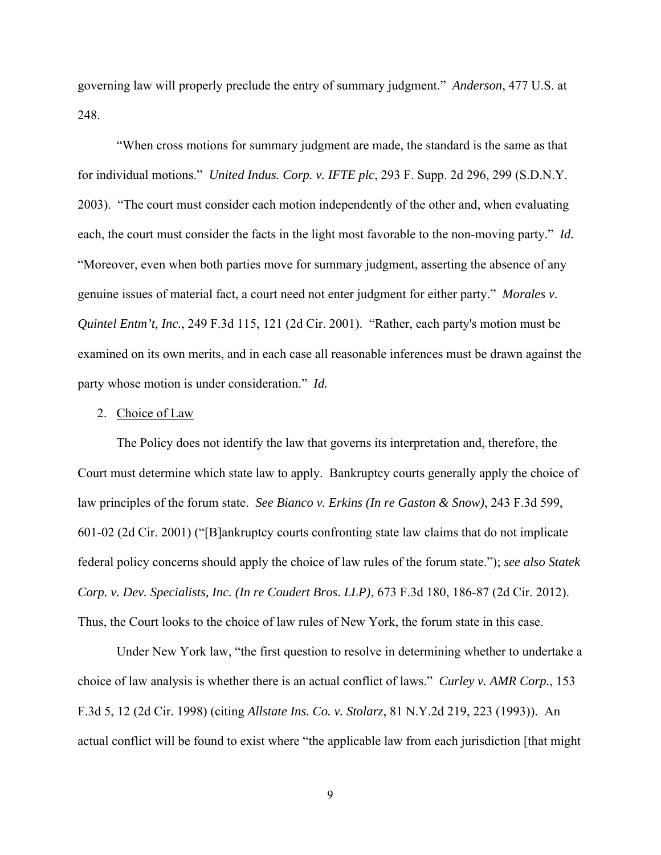governing law will properly preclude the entry of summary judgment." *Anderson*, 477 U.S. at 248.

"When cross motions for summary judgment are made, the standard is the same as that for individual motions." *United Indus. Corp. v. IFTE plc*, 293 F. Supp. 2d 296, 299 (S.D.N.Y. 2003). "The court must consider each motion independently of the other and, when evaluating each, the court must consider the facts in the light most favorable to the non-moving party." *Id.* "Moreover, even when both parties move for summary judgment, asserting the absence of any genuine issues of material fact, a court need not enter judgment for either party." *Morales v. Quintel Entm't, Inc.*, 249 F.3d 115, 121 (2d Cir. 2001). "Rather, each party's motion must be examined on its own merits, and in each case all reasonable inferences must be drawn against the party whose motion is under consideration." *Id.*

#### 2. Choice of Law

The Policy does not identify the law that governs its interpretation and, therefore, the Court must determine which state law to apply. Bankruptcy courts generally apply the choice of law principles of the forum state. *See Bianco v. Erkins (In re Gaston & Snow)*, 243 F.3d 599, 601-02 (2d Cir. 2001) ("[B]ankruptcy courts confronting state law claims that do not implicate federal policy concerns should apply the choice of law rules of the forum state."); *see also Statek Corp. v. Dev. Specialists, Inc. (In re Coudert Bros. LLP)*, 673 F.3d 180, 186-87 (2d Cir. 2012). Thus, the Court looks to the choice of law rules of New York, the forum state in this case.

Under New York law, "the first question to resolve in determining whether to undertake a choice of law analysis is whether there is an actual conflict of laws." *Curley v. AMR Corp.*, 153 F.3d 5, 12 (2d Cir. 1998) (citing *Allstate Ins. Co. v. Stolarz*, 81 N.Y.2d 219, 223 (1993)). An actual conflict will be found to exist where "the applicable law from each jurisdiction [that might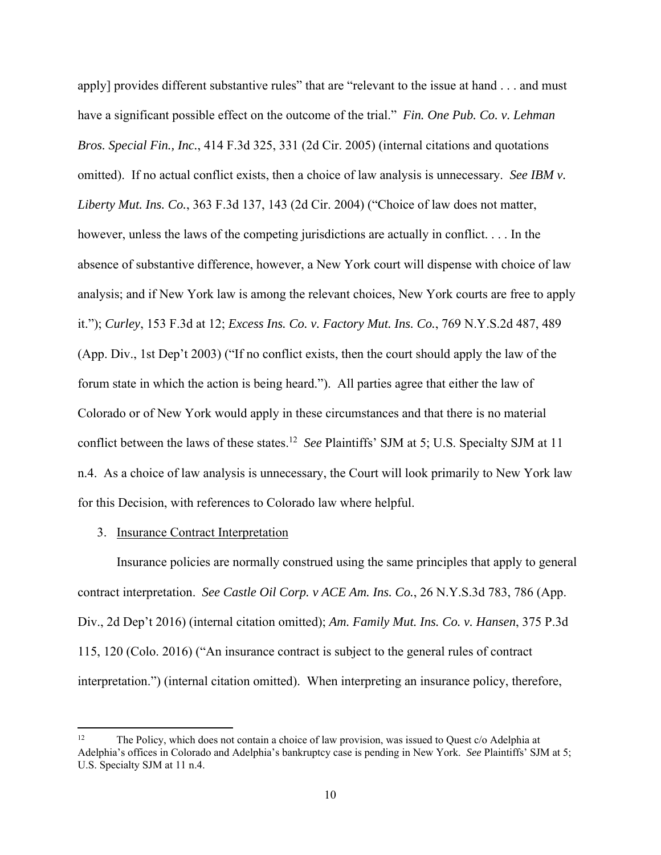apply] provides different substantive rules" that are "relevant to the issue at hand . . . and must have a significant possible effect on the outcome of the trial." *Fin. One Pub. Co. v. Lehman Bros. Special Fin., Inc.*, 414 F.3d 325, 331 (2d Cir. 2005) (internal citations and quotations omitted). If no actual conflict exists, then a choice of law analysis is unnecessary. *See IBM v. Liberty Mut. Ins. Co.*, 363 F.3d 137, 143 (2d Cir. 2004) ("Choice of law does not matter, however, unless the laws of the competing jurisdictions are actually in conflict. . . . In the absence of substantive difference, however, a New York court will dispense with choice of law analysis; and if New York law is among the relevant choices, New York courts are free to apply it."); *Curley*, 153 F.3d at 12; *Excess Ins. Co. v. Factory Mut. Ins. Co.*, 769 N.Y.S.2d 487, 489 (App. Div., 1st Dep't 2003) ("If no conflict exists, then the court should apply the law of the forum state in which the action is being heard."). All parties agree that either the law of Colorado or of New York would apply in these circumstances and that there is no material conflict between the laws of these states.12 *See* Plaintiffs' SJM at 5; U.S. Specialty SJM at 11 n.4. As a choice of law analysis is unnecessary, the Court will look primarily to New York law for this Decision, with references to Colorado law where helpful.

### 3. Insurance Contract Interpretation

Insurance policies are normally construed using the same principles that apply to general contract interpretation. *See Castle Oil Corp. v ACE Am. Ins. Co.*, 26 N.Y.S.3d 783, 786 (App. Div., 2d Dep't 2016) (internal citation omitted); *Am. Family Mut. Ins. Co. v. Hansen*, 375 P.3d 115, 120 (Colo. 2016) ("An insurance contract is subject to the general rules of contract interpretation.") (internal citation omitted). When interpreting an insurance policy, therefore,

<sup>&</sup>lt;sup>12</sup> The Policy, which does not contain a choice of law provision, was issued to Quest  $c/\text{o}$  Adelphia at Adelphia's offices in Colorado and Adelphia's bankruptcy case is pending in New York. *See* Plaintiffs' SJM at 5; U.S. Specialty SJM at 11 n.4.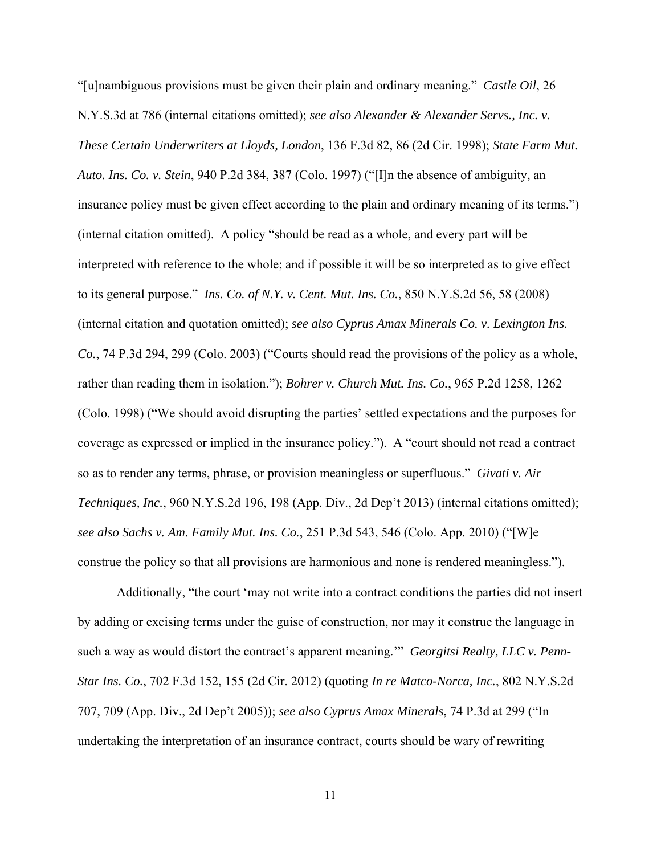"[u]nambiguous provisions must be given their plain and ordinary meaning." *Castle Oil*, 26 N.Y.S.3d at 786 (internal citations omitted); *see also Alexander & Alexander Servs., Inc. v. These Certain Underwriters at Lloyds, London*, 136 F.3d 82, 86 (2d Cir. 1998); *State Farm Mut. Auto. Ins. Co. v. Stein*, 940 P.2d 384, 387 (Colo. 1997) ("[I]n the absence of ambiguity, an insurance policy must be given effect according to the plain and ordinary meaning of its terms.") (internal citation omitted). A policy "should be read as a whole, and every part will be interpreted with reference to the whole; and if possible it will be so interpreted as to give effect to its general purpose." *Ins. Co. of N.Y. v. Cent. Mut. Ins. Co.*, 850 N.Y.S.2d 56, 58 (2008) (internal citation and quotation omitted); *see also Cyprus Amax Minerals Co. v. Lexington Ins. Co.*, 74 P.3d 294, 299 (Colo. 2003) ("Courts should read the provisions of the policy as a whole, rather than reading them in isolation."); *Bohrer v. Church Mut. Ins. Co.*, 965 P.2d 1258, 1262 (Colo. 1998) ("We should avoid disrupting the parties' settled expectations and the purposes for coverage as expressed or implied in the insurance policy."). A "court should not read a contract so as to render any terms, phrase, or provision meaningless or superfluous." *Givati v. Air Techniques, Inc.*, 960 N.Y.S.2d 196, 198 (App. Div., 2d Dep't 2013) (internal citations omitted); *see also Sachs v. Am. Family Mut. Ins. Co.*, 251 P.3d 543, 546 (Colo. App. 2010) ("[W]e construe the policy so that all provisions are harmonious and none is rendered meaningless.").

Additionally, "the court 'may not write into a contract conditions the parties did not insert by adding or excising terms under the guise of construction, nor may it construe the language in such a way as would distort the contract's apparent meaning.'" *Georgitsi Realty, LLC v. Penn-Star Ins. Co.*, 702 F.3d 152, 155 (2d Cir. 2012) (quoting *In re Matco-Norca, Inc.*, 802 N.Y.S.2d 707, 709 (App. Div., 2d Dep't 2005)); *see also Cyprus Amax Minerals*, 74 P.3d at 299 ("In undertaking the interpretation of an insurance contract, courts should be wary of rewriting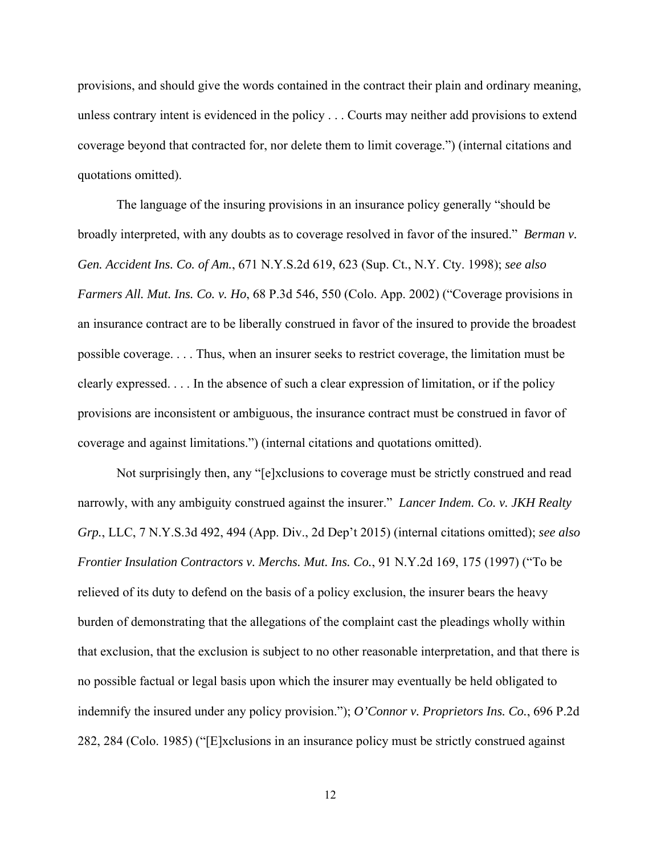provisions, and should give the words contained in the contract their plain and ordinary meaning, unless contrary intent is evidenced in the policy . . . Courts may neither add provisions to extend coverage beyond that contracted for, nor delete them to limit coverage.") (internal citations and quotations omitted).

The language of the insuring provisions in an insurance policy generally "should be broadly interpreted, with any doubts as to coverage resolved in favor of the insured." *Berman v. Gen. Accident Ins. Co. of Am.*, 671 N.Y.S.2d 619, 623 (Sup. Ct., N.Y. Cty. 1998); *see also Farmers All. Mut. Ins. Co. v. Ho*, 68 P.3d 546, 550 (Colo. App. 2002) ("Coverage provisions in an insurance contract are to be liberally construed in favor of the insured to provide the broadest possible coverage. . . . Thus, when an insurer seeks to restrict coverage, the limitation must be clearly expressed. . . . In the absence of such a clear expression of limitation, or if the policy provisions are inconsistent or ambiguous, the insurance contract must be construed in favor of coverage and against limitations.") (internal citations and quotations omitted).

Not surprisingly then, any "[e]xclusions to coverage must be strictly construed and read narrowly, with any ambiguity construed against the insurer." *Lancer Indem. Co. v. JKH Realty Grp.*, LLC, 7 N.Y.S.3d 492, 494 (App. Div., 2d Dep't 2015) (internal citations omitted); *see also Frontier Insulation Contractors v. Merchs. Mut. Ins. Co.*, 91 N.Y.2d 169, 175 (1997) ("To be relieved of its duty to defend on the basis of a policy exclusion, the insurer bears the heavy burden of demonstrating that the allegations of the complaint cast the pleadings wholly within that exclusion, that the exclusion is subject to no other reasonable interpretation, and that there is no possible factual or legal basis upon which the insurer may eventually be held obligated to indemnify the insured under any policy provision."); *O'Connor v. Proprietors Ins. Co.*, 696 P.2d 282, 284 (Colo. 1985) ("[E]xclusions in an insurance policy must be strictly construed against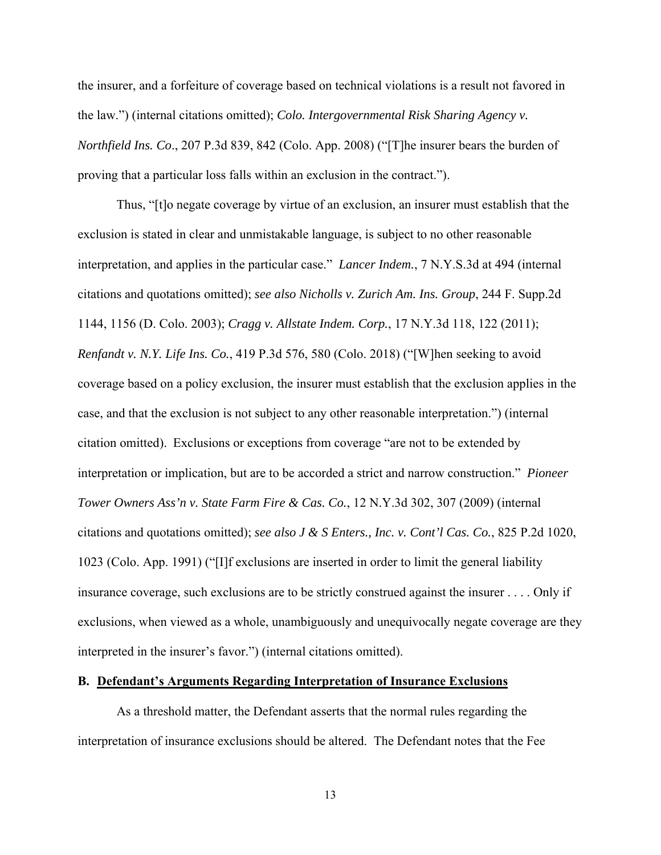the insurer, and a forfeiture of coverage based on technical violations is a result not favored in the law.") (internal citations omitted); *Colo. Intergovernmental Risk Sharing Agency v. Northfield Ins. Co*., 207 P.3d 839, 842 (Colo. App. 2008) ("[T]he insurer bears the burden of proving that a particular loss falls within an exclusion in the contract.").

Thus, "[t]o negate coverage by virtue of an exclusion, an insurer must establish that the exclusion is stated in clear and unmistakable language, is subject to no other reasonable interpretation, and applies in the particular case." *Lancer Indem.*, 7 N.Y.S.3d at 494 (internal citations and quotations omitted); *see also Nicholls v. Zurich Am. Ins. Group*, 244 F. Supp.2d 1144, 1156 (D. Colo. 2003); *Cragg v. Allstate Indem. Corp.*, 17 N.Y.3d 118, 122 (2011); *Renfandt v. N.Y. Life Ins. Co.*, 419 P.3d 576, 580 (Colo. 2018) ("[W]hen seeking to avoid coverage based on a policy exclusion, the insurer must establish that the exclusion applies in the case, and that the exclusion is not subject to any other reasonable interpretation.") (internal citation omitted). Exclusions or exceptions from coverage "are not to be extended by interpretation or implication, but are to be accorded a strict and narrow construction." *Pioneer Tower Owners Ass'n v. State Farm Fire & Cas. Co.*, 12 N.Y.3d 302, 307 (2009) (internal citations and quotations omitted); *see also J & S Enters., Inc. v. Cont'l Cas. Co.*, 825 P.2d 1020, 1023 (Colo. App. 1991) ("[I]f exclusions are inserted in order to limit the general liability insurance coverage, such exclusions are to be strictly construed against the insurer . . . . Only if exclusions, when viewed as a whole, unambiguously and unequivocally negate coverage are they interpreted in the insurer's favor.") (internal citations omitted).

### **B. Defendant's Arguments Regarding Interpretation of Insurance Exclusions**

As a threshold matter, the Defendant asserts that the normal rules regarding the interpretation of insurance exclusions should be altered. The Defendant notes that the Fee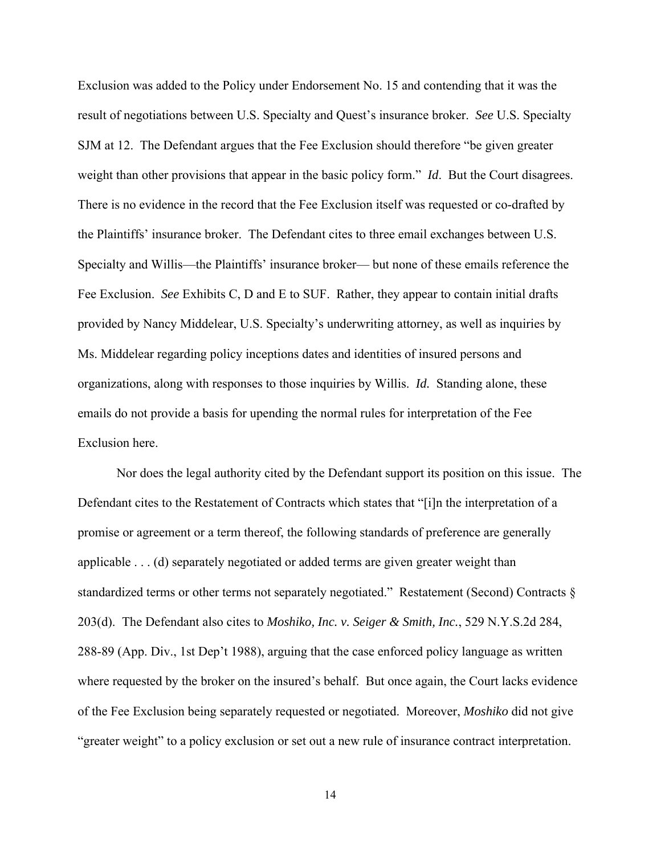Exclusion was added to the Policy under Endorsement No. 15 and contending that it was the result of negotiations between U.S. Specialty and Quest's insurance broker. *See* U.S. Specialty SJM at 12. The Defendant argues that the Fee Exclusion should therefore "be given greater weight than other provisions that appear in the basic policy form." *Id*. But the Court disagrees. There is no evidence in the record that the Fee Exclusion itself was requested or co-drafted by the Plaintiffs' insurance broker. The Defendant cites to three email exchanges between U.S. Specialty and Willis—the Plaintiffs' insurance broker— but none of these emails reference the Fee Exclusion. *See* Exhibits C, D and E to SUF. Rather, they appear to contain initial drafts provided by Nancy Middelear, U.S. Specialty's underwriting attorney, as well as inquiries by Ms. Middelear regarding policy inceptions dates and identities of insured persons and organizations, along with responses to those inquiries by Willis. *Id.* Standing alone, these emails do not provide a basis for upending the normal rules for interpretation of the Fee Exclusion here.

Nor does the legal authority cited by the Defendant support its position on this issue. The Defendant cites to the Restatement of Contracts which states that "[i]n the interpretation of a promise or agreement or a term thereof, the following standards of preference are generally applicable . . . (d) separately negotiated or added terms are given greater weight than standardized terms or other terms not separately negotiated." Restatement (Second) Contracts § 203(d). The Defendant also cites to *Moshiko, Inc. v. Seiger & Smith, Inc.*, 529 N.Y.S.2d 284, 288-89 (App. Div., 1st Dep't 1988), arguing that the case enforced policy language as written where requested by the broker on the insured's behalf. But once again, the Court lacks evidence of the Fee Exclusion being separately requested or negotiated. Moreover, *Moshiko* did not give "greater weight" to a policy exclusion or set out a new rule of insurance contract interpretation.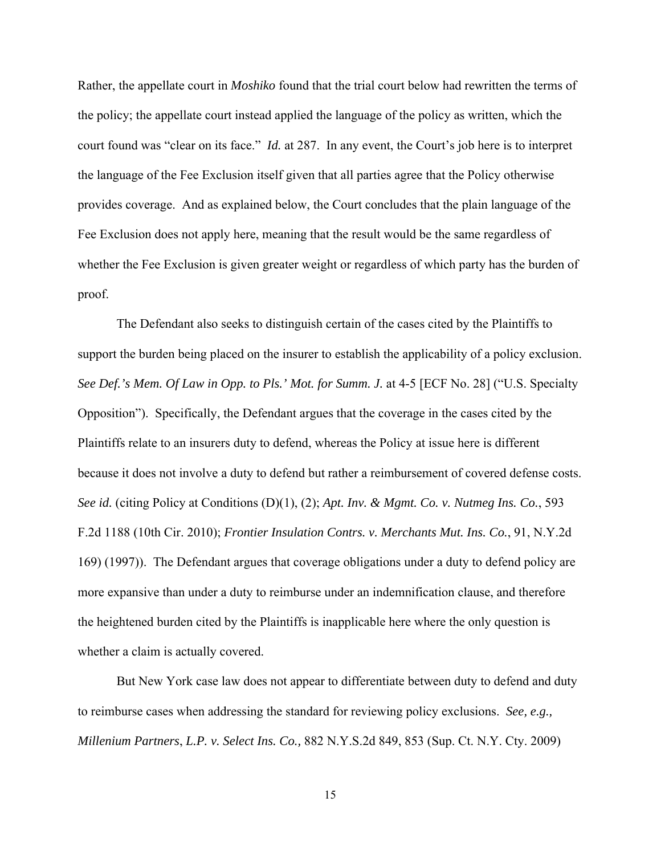Rather, the appellate court in *Moshiko* found that the trial court below had rewritten the terms of the policy; the appellate court instead applied the language of the policy as written, which the court found was "clear on its face." *Id.* at 287. In any event, the Court's job here is to interpret the language of the Fee Exclusion itself given that all parties agree that the Policy otherwise provides coverage. And as explained below, the Court concludes that the plain language of the Fee Exclusion does not apply here, meaning that the result would be the same regardless of whether the Fee Exclusion is given greater weight or regardless of which party has the burden of proof.

The Defendant also seeks to distinguish certain of the cases cited by the Plaintiffs to support the burden being placed on the insurer to establish the applicability of a policy exclusion. *See Def.'s Mem. Of Law in Opp. to Pls.' Mot. for Summ. J.* at 4-5 [ECF No. 28] ("U.S. Specialty Opposition"). Specifically, the Defendant argues that the coverage in the cases cited by the Plaintiffs relate to an insurers duty to defend, whereas the Policy at issue here is different because it does not involve a duty to defend but rather a reimbursement of covered defense costs. *See id.* (citing Policy at Conditions (D)(1), (2); *Apt. Inv. & Mgmt. Co. v. Nutmeg Ins. Co.*, 593 F.2d 1188 (10th Cir. 2010); *Frontier Insulation Contrs. v. Merchants Mut. Ins. Co.*, 91, N.Y.2d 169) (1997)). The Defendant argues that coverage obligations under a duty to defend policy are more expansive than under a duty to reimburse under an indemnification clause, and therefore the heightened burden cited by the Plaintiffs is inapplicable here where the only question is whether a claim is actually covered.

But New York case law does not appear to differentiate between duty to defend and duty to reimburse cases when addressing the standard for reviewing policy exclusions. *See, e.g., Millenium Partners*, *L.P. v. Select Ins. Co.,* 882 N.Y.S.2d 849, 853 (Sup. Ct. N.Y. Cty. 2009)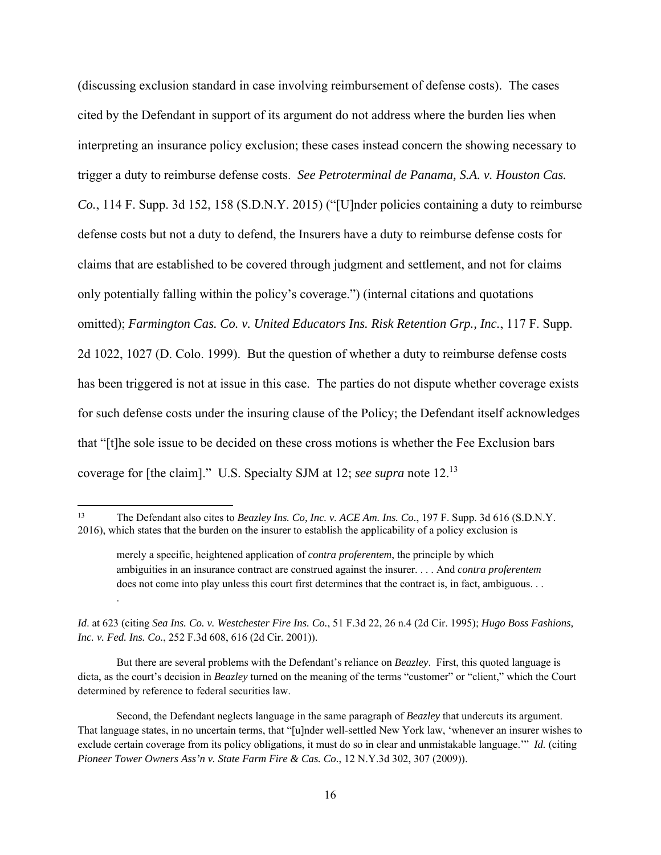(discussing exclusion standard in case involving reimbursement of defense costs). The cases cited by the Defendant in support of its argument do not address where the burden lies when interpreting an insurance policy exclusion; these cases instead concern the showing necessary to trigger a duty to reimburse defense costs. *See Petroterminal de Panama, S.A. v. Houston Cas. Co.*, 114 F. Supp. 3d 152, 158 (S.D.N.Y. 2015) ("[U]nder policies containing a duty to reimburse defense costs but not a duty to defend, the Insurers have a duty to reimburse defense costs for claims that are established to be covered through judgment and settlement, and not for claims only potentially falling within the policy's coverage.") (internal citations and quotations omitted); *Farmington Cas. Co. v. United Educators Ins. Risk Retention Grp., Inc.*, 117 F. Supp. 2d 1022, 1027 (D. Colo. 1999). But the question of whether a duty to reimburse defense costs has been triggered is not at issue in this case. The parties do not dispute whether coverage exists for such defense costs under the insuring clause of the Policy; the Defendant itself acknowledges that "[t]he sole issue to be decided on these cross motions is whether the Fee Exclusion bars coverage for [the claim]." U.S. Specialty SJM at 12; *see supra* note 12.13

.

But there are several problems with the Defendant's reliance on *Beazley*. First, this quoted language is dicta, as the court's decision in *Beazley* turned on the meaning of the terms "customer" or "client," which the Court determined by reference to federal securities law.

<sup>13</sup> The Defendant also cites to *Beazley Ins. Co, Inc. v. ACE Am. Ins. Co.*, 197 F. Supp. 3d 616 (S.D.N.Y. 2016), which states that the burden on the insurer to establish the applicability of a policy exclusion is

merely a specific, heightened application of *contra proferentem*, the principle by which ambiguities in an insurance contract are construed against the insurer. . . . And *contra proferentem* does not come into play unless this court first determines that the contract is, in fact, ambiguous. . .

*Id*. at 623 (citing *Sea Ins. Co. v. Westchester Fire Ins. Co.*, 51 F.3d 22, 26 n.4 (2d Cir. 1995); *Hugo Boss Fashions, Inc. v. Fed. Ins. Co.*, 252 F.3d 608, 616 (2d Cir. 2001)).

Second, the Defendant neglects language in the same paragraph of *Beazley* that undercuts its argument. That language states, in no uncertain terms, that "[u]nder well-settled New York law, 'whenever an insurer wishes to exclude certain coverage from its policy obligations, it must do so in clear and unmistakable language.'" *Id.* (citing *Pioneer Tower Owners Ass'n v. State Farm Fire & Cas. Co.*, 12 N.Y.3d 302, 307 (2009)).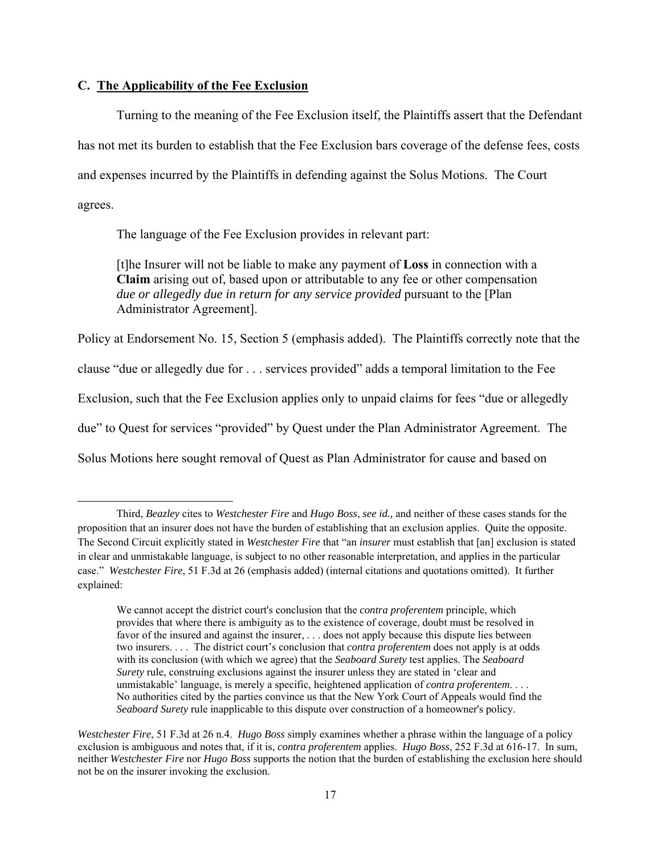## **C. The Applicability of the Fee Exclusion**

Turning to the meaning of the Fee Exclusion itself, the Plaintiffs assert that the Defendant has not met its burden to establish that the Fee Exclusion bars coverage of the defense fees, costs and expenses incurred by the Plaintiffs in defending against the Solus Motions. The Court agrees.

The language of the Fee Exclusion provides in relevant part:

[t]he Insurer will not be liable to make any payment of **Loss** in connection with a **Claim** arising out of, based upon or attributable to any fee or other compensation *due or allegedly due in return for any service provided* pursuant to the [Plan Administrator Agreement].

Policy at Endorsement No. 15, Section 5 (emphasis added). The Plaintiffs correctly note that the clause "due or allegedly due for . . . services provided" adds a temporal limitation to the Fee Exclusion, such that the Fee Exclusion applies only to unpaid claims for fees "due or allegedly due" to Quest for services "provided" by Quest under the Plan Administrator Agreement. The Solus Motions here sought removal of Quest as Plan Administrator for cause and based on

Third, *Beazley* cites to *Westchester Fire* and *Hugo Boss*, *see id.,* and neither of these cases stands for the proposition that an insurer does not have the burden of establishing that an exclusion applies. Quite the opposite. The Second Circuit explicitly stated in *Westchester Fire* that "an *insurer* must establish that [an] exclusion is stated in clear and unmistakable language, is subject to no other reasonable interpretation, and applies in the particular case." *Westchester Fire*, 51 F.3d at 26 (emphasis added) (internal citations and quotations omitted). It further explained:

We cannot accept the district court's conclusion that the *contra proferentem* principle, which provides that where there is ambiguity as to the existence of coverage, doubt must be resolved in favor of the insured and against the insurer, . . . does not apply because this dispute lies between two insurers. . . . The district court's conclusion that *contra proferentem* does not apply is at odds with its conclusion (with which we agree) that the *Seaboard Surety* test applies. The *Seaboard Surety* rule, construing exclusions against the insurer unless they are stated in 'clear and unmistakable' language, is merely a specific, heightened application of *contra proferentem*. . . . No authorities cited by the parties convince us that the New York Court of Appeals would find the *Seaboard Surety* rule inapplicable to this dispute over construction of a homeowner's policy.

*Westchester Fire*, 51 F.3d at 26 n.4. *Hugo Boss* simply examines whether a phrase within the language of a policy exclusion is ambiguous and notes that, if it is, *contra proferentem* applies. *Hugo Boss*, 252 F.3d at 616-17. In sum, neither *Westchester Fire* nor *Hugo Boss* supports the notion that the burden of establishing the exclusion here should not be on the insurer invoking the exclusion.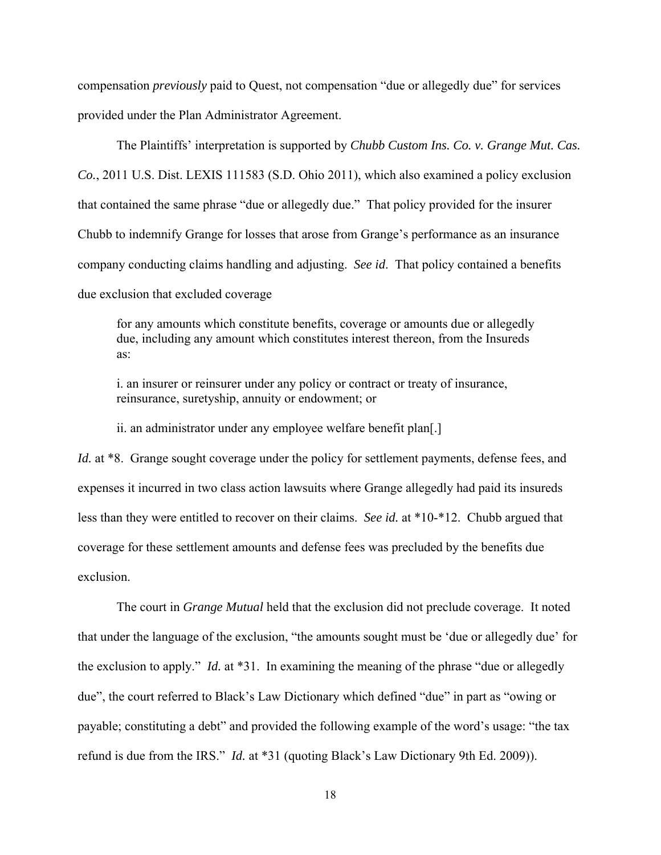compensation *previously* paid to Quest, not compensation "due or allegedly due" for services provided under the Plan Administrator Agreement.

 The Plaintiffs' interpretation is supported by *Chubb Custom Ins. Co. v. Grange Mut. Cas. Co.*, 2011 U.S. Dist. LEXIS 111583 (S.D. Ohio 2011), which also examined a policy exclusion that contained the same phrase "due or allegedly due." That policy provided for the insurer Chubb to indemnify Grange for losses that arose from Grange's performance as an insurance company conducting claims handling and adjusting. *See id*. That policy contained a benefits due exclusion that excluded coverage

for any amounts which constitute benefits, coverage or amounts due or allegedly due, including any amount which constitutes interest thereon, from the Insureds as:

i. an insurer or reinsurer under any policy or contract or treaty of insurance, reinsurance, suretyship, annuity or endowment; or

ii. an administrator under any employee welfare benefit plan[.]

*Id.* at \*8. Grange sought coverage under the policy for settlement payments, defense fees, and expenses it incurred in two class action lawsuits where Grange allegedly had paid its insureds less than they were entitled to recover on their claims. *See id.* at \*10-\*12. Chubb argued that coverage for these settlement amounts and defense fees was precluded by the benefits due exclusion.

The court in *Grange Mutual* held that the exclusion did not preclude coverage. It noted that under the language of the exclusion, "the amounts sought must be 'due or allegedly due' for the exclusion to apply." *Id.* at \*31. In examining the meaning of the phrase "due or allegedly due", the court referred to Black's Law Dictionary which defined "due" in part as "owing or payable; constituting a debt" and provided the following example of the word's usage: "the tax refund is due from the IRS." *Id.* at \*31 (quoting Black's Law Dictionary 9th Ed. 2009)).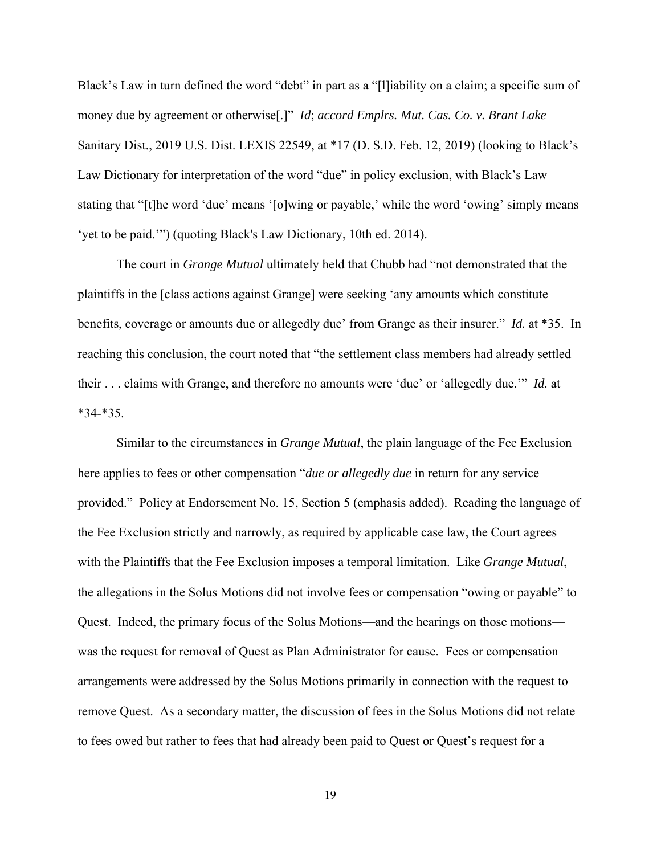Black's Law in turn defined the word "debt" in part as a "[I]iability on a claim; a specific sum of money due by agreement or otherwise[.]" *Id*; *accord Emplrs. Mut. Cas. Co. v. Brant Lake*  Sanitary Dist., 2019 U.S. Dist. LEXIS 22549, at \*17 (D. S.D. Feb. 12, 2019) (looking to Black's Law Dictionary for interpretation of the word "due" in policy exclusion, with Black's Law stating that "[t]he word 'due' means '[o]wing or payable,' while the word 'owing' simply means 'yet to be paid.'") (quoting Black's Law Dictionary, 10th ed. 2014).

 The court in *Grange Mutual* ultimately held that Chubb had "not demonstrated that the plaintiffs in the [class actions against Grange] were seeking 'any amounts which constitute benefits, coverage or amounts due or allegedly due' from Grange as their insurer." *Id.* at \*35. In reaching this conclusion, the court noted that "the settlement class members had already settled their . . . claims with Grange, and therefore no amounts were 'due' or 'allegedly due.'" *Id.* at \*34-\*35.

 Similar to the circumstances in *Grange Mutual*, the plain language of the Fee Exclusion here applies to fees or other compensation "*due or allegedly due* in return for any service provided." Policy at Endorsement No. 15, Section 5 (emphasis added). Reading the language of the Fee Exclusion strictly and narrowly, as required by applicable case law, the Court agrees with the Plaintiffs that the Fee Exclusion imposes a temporal limitation. Like *Grange Mutual*, the allegations in the Solus Motions did not involve fees or compensation "owing or payable" to Quest. Indeed, the primary focus of the Solus Motions—and the hearings on those motions was the request for removal of Quest as Plan Administrator for cause. Fees or compensation arrangements were addressed by the Solus Motions primarily in connection with the request to remove Quest. As a secondary matter, the discussion of fees in the Solus Motions did not relate to fees owed but rather to fees that had already been paid to Quest or Quest's request for a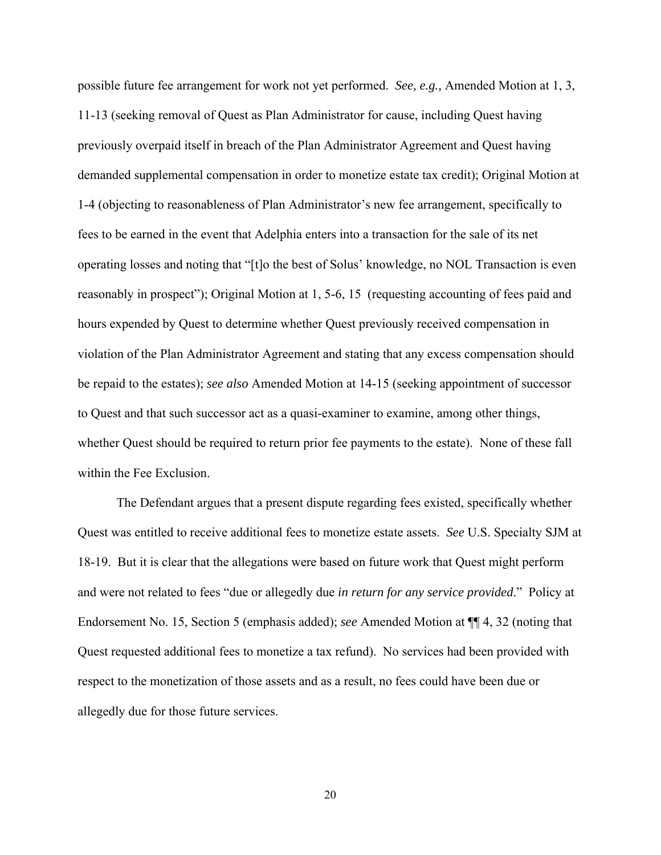possible future fee arrangement for work not yet performed. *See, e.g.,* Amended Motion at 1, 3, 11-13 (seeking removal of Quest as Plan Administrator for cause, including Quest having previously overpaid itself in breach of the Plan Administrator Agreement and Quest having demanded supplemental compensation in order to monetize estate tax credit); Original Motion at 1-4 (objecting to reasonableness of Plan Administrator's new fee arrangement, specifically to fees to be earned in the event that Adelphia enters into a transaction for the sale of its net operating losses and noting that "[t]o the best of Solus' knowledge, no NOL Transaction is even reasonably in prospect"); Original Motion at 1, 5-6, 15 (requesting accounting of fees paid and hours expended by Quest to determine whether Quest previously received compensation in violation of the Plan Administrator Agreement and stating that any excess compensation should be repaid to the estates); *see also* Amended Motion at 14-15 (seeking appointment of successor to Quest and that such successor act as a quasi-examiner to examine, among other things, whether Quest should be required to return prior fee payments to the estate). None of these fall within the Fee Exclusion.

The Defendant argues that a present dispute regarding fees existed, specifically whether Quest was entitled to receive additional fees to monetize estate assets. *See* U.S. Specialty SJM at 18-19. But it is clear that the allegations were based on future work that Quest might perform and were not related to fees "due or allegedly due *in return for any service provided*." Policy at Endorsement No. 15, Section 5 (emphasis added); *see* Amended Motion at ¶¶ 4, 32 (noting that Quest requested additional fees to monetize a tax refund). No services had been provided with respect to the monetization of those assets and as a result, no fees could have been due or allegedly due for those future services.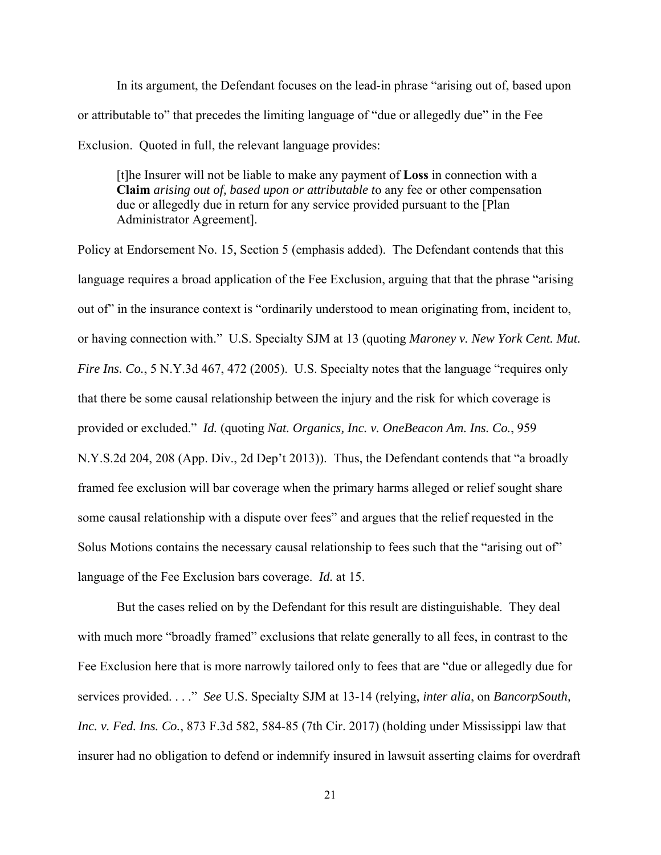In its argument, the Defendant focuses on the lead-in phrase "arising out of, based upon or attributable to" that precedes the limiting language of "due or allegedly due" in the Fee Exclusion. Quoted in full, the relevant language provides:

[t]he Insurer will not be liable to make any payment of **Loss** in connection with a **Claim** *arising out of, based upon or attributable t*o any fee or other compensation due or allegedly due in return for any service provided pursuant to the [Plan Administrator Agreement].

Policy at Endorsement No. 15, Section 5 (emphasis added). The Defendant contends that this language requires a broad application of the Fee Exclusion, arguing that that the phrase "arising out of" in the insurance context is "ordinarily understood to mean originating from, incident to, or having connection with." U.S. Specialty SJM at 13 (quoting *Maroney v. New York Cent. Mut. Fire Ins. Co.*, 5 N.Y.3d 467, 472 (2005). U.S. Specialty notes that the language "requires only that there be some causal relationship between the injury and the risk for which coverage is provided or excluded." *Id.* (quoting *Nat. Organics, Inc. v. OneBeacon Am. Ins. Co.*, 959 N.Y.S.2d 204, 208 (App. Div., 2d Dep't 2013)). Thus, the Defendant contends that "a broadly framed fee exclusion will bar coverage when the primary harms alleged or relief sought share some causal relationship with a dispute over fees" and argues that the relief requested in the Solus Motions contains the necessary causal relationship to fees such that the "arising out of" language of the Fee Exclusion bars coverage. *Id.* at 15.

But the cases relied on by the Defendant for this result are distinguishable. They deal with much more "broadly framed" exclusions that relate generally to all fees, in contrast to the Fee Exclusion here that is more narrowly tailored only to fees that are "due or allegedly due for services provided. . . ." *See* U.S. Specialty SJM at 13-14 (relying, *inter alia*, on *BancorpSouth, Inc. v. Fed. Ins. Co.*, 873 F.3d 582, 584-85 (7th Cir. 2017) (holding under Mississippi law that insurer had no obligation to defend or indemnify insured in lawsuit asserting claims for overdraft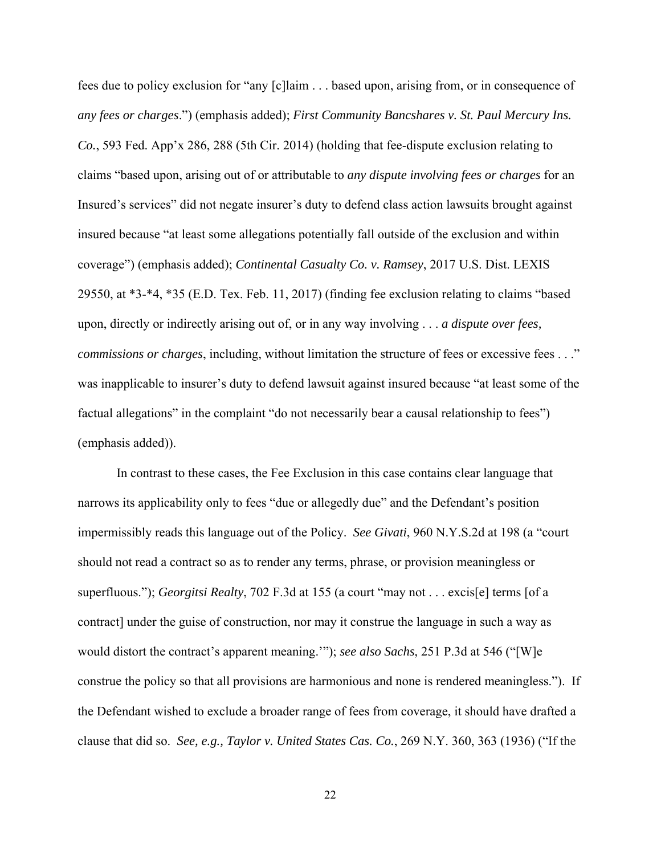fees due to policy exclusion for "any [c]laim . . . based upon, arising from, or in consequence of *any fees or charges*.") (emphasis added); *First Community Bancshares v. St. Paul Mercury Ins. Co.*, 593 Fed. App'x 286, 288 (5th Cir. 2014) (holding that fee-dispute exclusion relating to claims "based upon, arising out of or attributable to *any dispute involving fees or charges* for an Insured's services" did not negate insurer's duty to defend class action lawsuits brought against insured because "at least some allegations potentially fall outside of the exclusion and within coverage") (emphasis added); *Continental Casualty Co. v. Ramsey*, 2017 U.S. Dist. LEXIS 29550, at \*3-\*4, \*35 (E.D. Tex. Feb. 11, 2017) (finding fee exclusion relating to claims "based upon, directly or indirectly arising out of, or in any way involving . . . *a dispute over fees, commissions or charges*, including, without limitation the structure of fees or excessive fees . . ." was inapplicable to insurer's duty to defend lawsuit against insured because "at least some of the factual allegations" in the complaint "do not necessarily bear a causal relationship to fees") (emphasis added)).

In contrast to these cases, the Fee Exclusion in this case contains clear language that narrows its applicability only to fees "due or allegedly due" and the Defendant's position impermissibly reads this language out of the Policy. *See Givati*, 960 N.Y.S.2d at 198 (a "court should not read a contract so as to render any terms, phrase, or provision meaningless or superfluous."); *Georgitsi Realty*, 702 F.3d at 155 (a court "may not . . . excis[e] terms [of a contract] under the guise of construction, nor may it construe the language in such a way as would distort the contract's apparent meaning.'"); *see also Sachs*, 251 P.3d at 546 ("[W]e construe the policy so that all provisions are harmonious and none is rendered meaningless."). If the Defendant wished to exclude a broader range of fees from coverage, it should have drafted a clause that did so. *See, e.g., Taylor v. United States Cas. Co.*, 269 N.Y. 360, 363 (1936) ("If the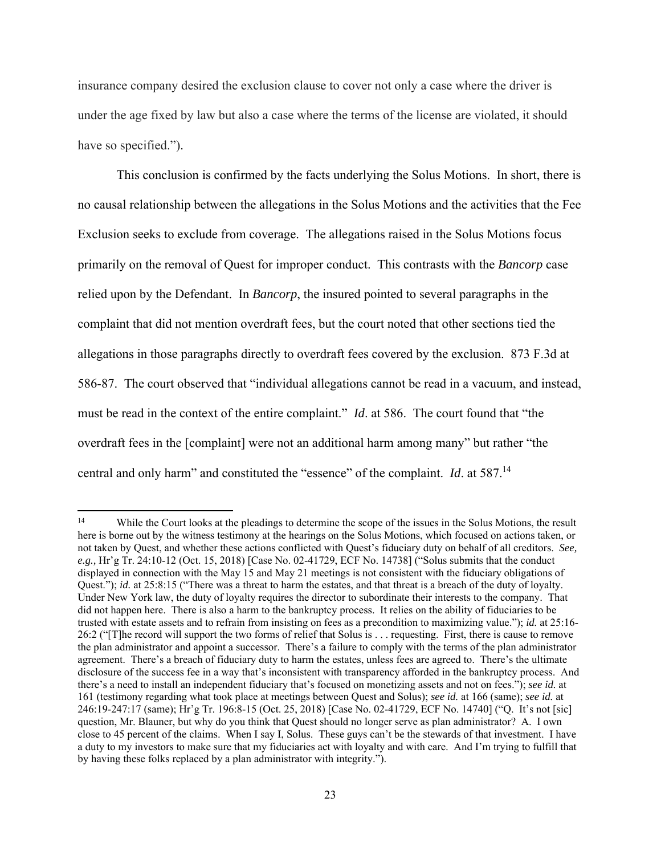insurance company desired the exclusion clause to cover not only a case where the driver is under the age fixed by law but also a case where the terms of the license are violated, it should have so specified.").

 This conclusion is confirmed by the facts underlying the Solus Motions. In short, there is no causal relationship between the allegations in the Solus Motions and the activities that the Fee Exclusion seeks to exclude from coverage. The allegations raised in the Solus Motions focus primarily on the removal of Quest for improper conduct. This contrasts with the *Bancorp* case relied upon by the Defendant. In *Bancorp*, the insured pointed to several paragraphs in the complaint that did not mention overdraft fees, but the court noted that other sections tied the allegations in those paragraphs directly to overdraft fees covered by the exclusion. 873 F.3d at 586-87. The court observed that "individual allegations cannot be read in a vacuum, and instead, must be read in the context of the entire complaint." *Id*. at 586. The court found that "the overdraft fees in the [complaint] were not an additional harm among many" but rather "the central and only harm" and constituted the "essence" of the complaint. *Id*. at 587.14

<sup>&</sup>lt;sup>14</sup> While the Court looks at the pleadings to determine the scope of the issues in the Solus Motions, the result here is borne out by the witness testimony at the hearings on the Solus Motions, which focused on actions taken, or not taken by Quest, and whether these actions conflicted with Quest's fiduciary duty on behalf of all creditors. *See, e.g.,* Hr'g Tr. 24:10-12 (Oct. 15, 2018) [Case No. 02-41729, ECF No. 14738] ("Solus submits that the conduct displayed in connection with the May 15 and May 21 meetings is not consistent with the fiduciary obligations of Quest."); *id.* at 25:8:15 ("There was a threat to harm the estates, and that threat is a breach of the duty of loyalty. Under New York law, the duty of loyalty requires the director to subordinate their interests to the company. That did not happen here. There is also a harm to the bankruptcy process. It relies on the ability of fiduciaries to be trusted with estate assets and to refrain from insisting on fees as a precondition to maximizing value."); *id.* at 25:16- 26:2 ("[T]he record will support the two forms of relief that Solus is . . . requesting. First, there is cause to remove the plan administrator and appoint a successor. There's a failure to comply with the terms of the plan administrator agreement. There's a breach of fiduciary duty to harm the estates, unless fees are agreed to. There's the ultimate disclosure of the success fee in a way that's inconsistent with transparency afforded in the bankruptcy process. And there's a need to install an independent fiduciary that's focused on monetizing assets and not on fees."); *see id.* at 161 (testimony regarding what took place at meetings between Quest and Solus); *see id.* at 166 (same); *see id.* at 246:19-247:17 (same); Hr'g Tr. 196:8-15 (Oct. 25, 2018) [Case No. 02-41729, ECF No. 14740] ("Q. It's not [sic] question, Mr. Blauner, but why do you think that Quest should no longer serve as plan administrator? A. I own close to 45 percent of the claims. When I say I, Solus. These guys can't be the stewards of that investment. I have a duty to my investors to make sure that my fiduciaries act with loyalty and with care. And I'm trying to fulfill that by having these folks replaced by a plan administrator with integrity.").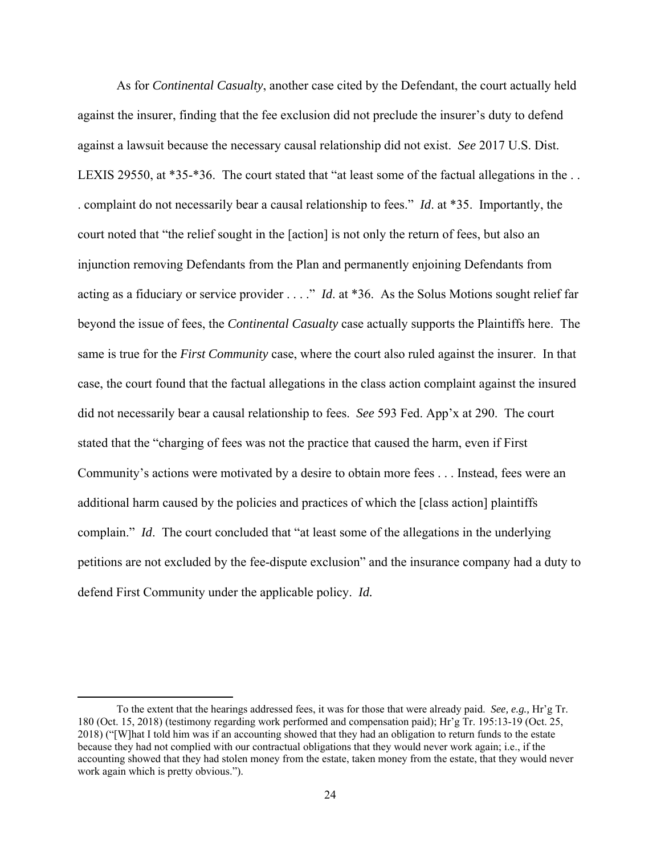As for *Continental Casualty*, another case cited by the Defendant, the court actually held against the insurer, finding that the fee exclusion did not preclude the insurer's duty to defend against a lawsuit because the necessary causal relationship did not exist. *See* 2017 U.S. Dist. LEXIS 29550, at \*35-\*36. The court stated that "at least some of the factual allegations in the ... . complaint do not necessarily bear a causal relationship to fees." *Id*. at \*35. Importantly, the court noted that "the relief sought in the [action] is not only the return of fees, but also an injunction removing Defendants from the Plan and permanently enjoining Defendants from acting as a fiduciary or service provider . . . ." *Id*. at \*36. As the Solus Motions sought relief far beyond the issue of fees, the *Continental Casualty* case actually supports the Plaintiffs here. The same is true for the *First Community* case, where the court also ruled against the insurer. In that case, the court found that the factual allegations in the class action complaint against the insured did not necessarily bear a causal relationship to fees. *See* 593 Fed. App'x at 290. The court stated that the "charging of fees was not the practice that caused the harm, even if First Community's actions were motivated by a desire to obtain more fees . . . Instead, fees were an additional harm caused by the policies and practices of which the [class action] plaintiffs complain." *Id*. The court concluded that "at least some of the allegations in the underlying petitions are not excluded by the fee-dispute exclusion" and the insurance company had a duty to defend First Community under the applicable policy. *Id.* 

To the extent that the hearings addressed fees, it was for those that were already paid. *See, e.g.,* Hr'g Tr. 180 (Oct. 15, 2018) (testimony regarding work performed and compensation paid); Hr'g Tr. 195:13-19 (Oct. 25, 2018) ("[W]hat I told him was if an accounting showed that they had an obligation to return funds to the estate because they had not complied with our contractual obligations that they would never work again; i.e., if the accounting showed that they had stolen money from the estate, taken money from the estate, that they would never work again which is pretty obvious.").